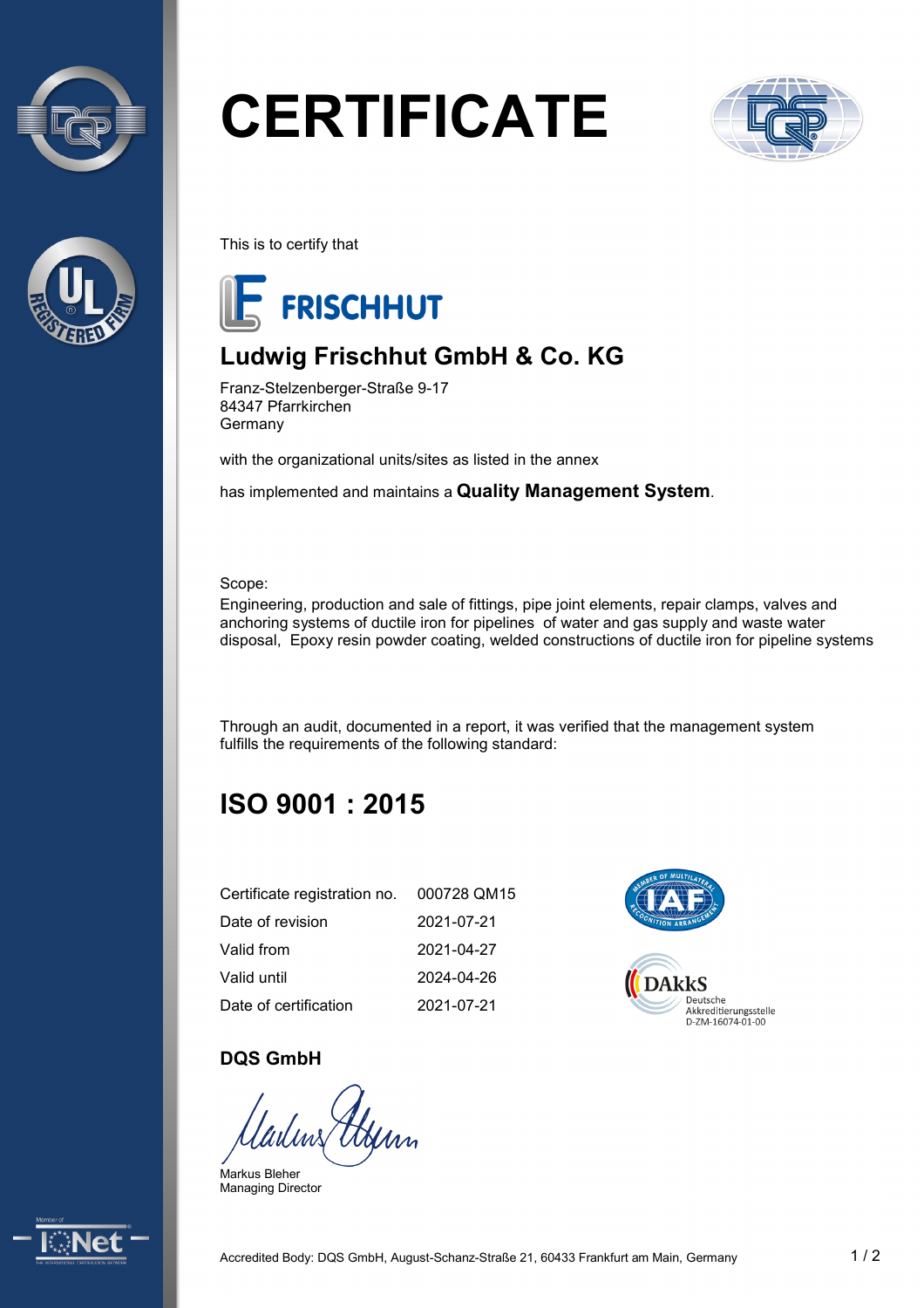



# **CERTIFICATE**



This is to certify that



## **Ludwig Frischhut GmbH & Co. KG**

Franz-Stelzenberger-Straße 9-17 84347 Pfarrkirchen Germany

with the organizational units/sites as listed in the annex

has implemented and maintains a **Quality Management System**.

Scope:

Engineering, production and sale of fittings, pipe joint elements, repair clamps, valves and anchoring systems of ductile iron for pipelines of water and gas supply and waste water disposal, Epoxy resin powder coating, welded constructions of ductile iron for pipeline systems

Through an audit, documented in a report, it was verified that the management system fulfills the requirements of the following standard:

# **ISO 9001 : 2015**

| Certificate registration no. | 000728 QM15 |
|------------------------------|-------------|
| Date of revision             | 2021-07-21  |
| Valid from                   | 2021-04-27  |
| Valid until                  | 2024-04-26  |
| Date of certification        | 2021-07-21  |



#### **DQS GmbH**

Markus Bleher Managing Director